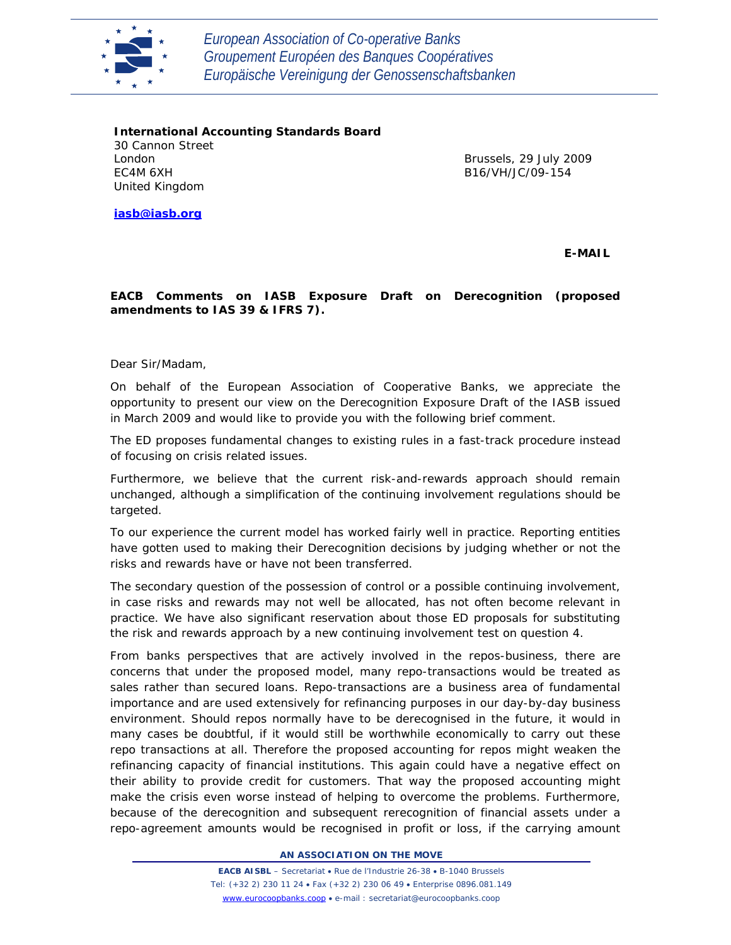

*European Association of Co-operative Banks Groupement Européen des Banques Coopératives Europäische Vereinigung der Genossenschaftsbanken*

**International Accounting Standards Board** 30 Cannon Street London EC4M 6XH United Kingdom

Brussels, 29 July 2009 B16/VH/JC/09-154

**iasb@iasb.org**

**E-MAIL**

## **EACB Comments on IASB Exposure Draft on Derecognition (proposed amendments to IAS 39 & IFRS 7).**

Dear Sir/Madam,

On behalf of the European Association of Cooperative Banks, we appreciate the opportunity to present our view on the Derecognition Exposure Draft of the IASB issued in March 2009 and would like to provide you with the following brief comment.

The ED proposes fundamental changes to existing rules in a fast-track procedure instead of focusing on crisis related issues.

Furthermore, we believe that the current risk-and-rewards approach should remain unchanged, although a simplification of the continuing involvement regulations should be targeted.

To our experience the current model has worked fairly well in practice. Reporting entities have gotten used to making their Derecognition decisions by judging whether or not the risks and rewards have or have not been transferred.

The secondary question of the possession of control or a possible continuing involvement, in case risks and rewards may not well be allocated, has not often become relevant in practice. We have also significant reservation about those ED proposals for substituting the risk and rewards approach by a new continuing involvement test on question 4.

From banks perspectives that are actively involved in the repos-business, there are concerns that under the proposed model, many repo-transactions would be treated as sales rather than secured loans. Repo-transactions are a business area of fundamental importance and are used extensively for refinancing purposes in our day-by-day business environment. Should repos normally have to be derecognised in the future, it would in many cases be doubtful, if it would still be worthwhile economically to carry out these repo transactions at all. Therefore the proposed accounting for repos might weaken the refinancing capacity of financial institutions. This again could have a negative effect on their ability to provide credit for customers. That way the proposed accounting might make the crisis even worse instead of helping to overcome the problems. Furthermore, because of the derecognition and subsequent rerecognition of financial assets under a repo-agreement amounts would be recognised in profit or loss, if the carrying amount

**AN ASSOCIATION ON THE MOVE**